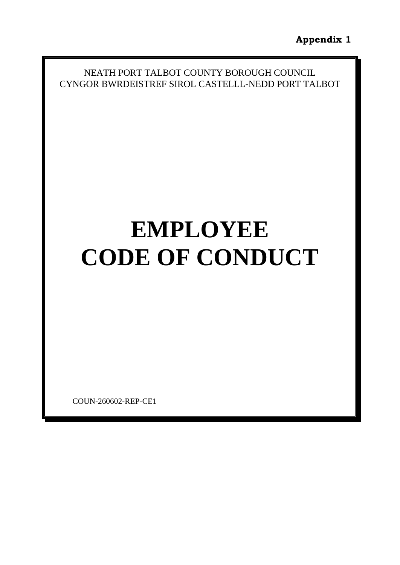NEATH PORT TALBOT COUNTY BOROUGH COUNCIL CYNGOR BWRDEISTREF SIROL CASTELLL-NEDD PORT TALBOT

# **EMPLOYEE CODE OF CONDUCT**

COUN-260602-REP-CE1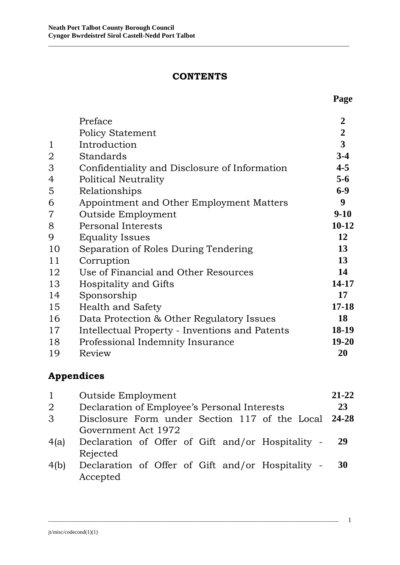#### **CONTENTS**

\_\_\_\_\_\_\_\_\_\_\_\_\_\_\_\_\_\_\_\_\_\_\_\_\_\_\_\_\_\_\_\_\_\_\_\_\_\_\_\_\_\_\_\_\_\_\_\_\_\_\_\_\_\_\_\_\_\_\_\_\_\_\_\_\_\_\_\_\_\_\_\_\_\_\_\_\_\_\_\_\_\_\_\_\_\_\_\_\_

|                | Preface                                        | $\overline{2}$          |
|----------------|------------------------------------------------|-------------------------|
|                | <b>Policy Statement</b>                        | $\overline{2}$          |
| $\mathbf 1$    | Introduction                                   | $\overline{\mathbf{3}}$ |
| $\overline{2}$ | Standards                                      | $3-4$                   |
| 3              | Confidentiality and Disclosure of Information  | $4 - 5$                 |
| 4              | Political Neutrality                           | $5 - 6$                 |
| 5              | Relationships                                  | $6 - 9$                 |
| 6              | Appointment and Other Employment Matters       | 9                       |
| $\overline{7}$ | Outside Employment                             | $9-10$                  |
| 8              | <b>Personal Interests</b>                      | $10 - 12$               |
| 9              | <b>Equality Issues</b>                         | 12                      |
| 10             | Separation of Roles During Tendering           | 13                      |
| 11             | Corruption                                     | 13                      |
| 12             | Use of Financial and Other Resources           | 14                      |
| 13             | Hospitality and Gifts                          | 14-17                   |
| 14             | Sponsorship                                    | 17                      |
| 15             | <b>Health and Safety</b>                       | $17 - 18$               |
| 16             | Data Protection & Other Regulatory Issues      | 18                      |
| 17             | Intellectual Property - Inventions and Patents | 18-19                   |
| 18             | Professional Indemnity Insurance               | 19-20                   |
| 19             | Review                                         | 20                      |

# **Appendices**

| $\mathbf{1}$   | Outside Employment                                   | $21 - 22$<br>23 |  |
|----------------|------------------------------------------------------|-----------------|--|
| $\overline{2}$ | Declaration of Employee's Personal Interests         |                 |  |
| 3              | Disclosure Form under Section 117 of the Local 24-28 |                 |  |
|                | Government Act 1972                                  |                 |  |
| 4(a)           | Declaration of Offer of Gift and/or Hospitality -    | 29              |  |
|                | Rejected                                             |                 |  |
| 4(b)           | Declaration of Offer of Gift and/or Hospitality -    | 30              |  |
|                | Accepted                                             |                 |  |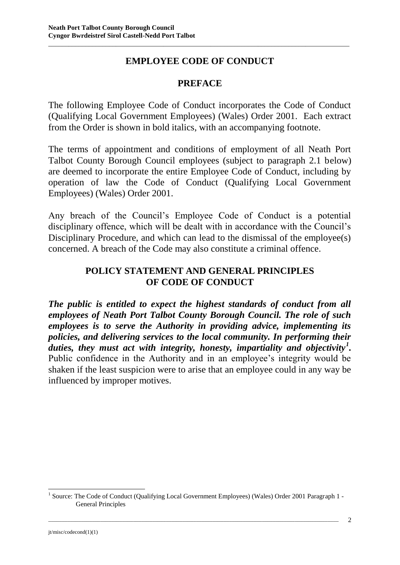## **EMPLOYEE CODE OF CONDUCT**

\_\_\_\_\_\_\_\_\_\_\_\_\_\_\_\_\_\_\_\_\_\_\_\_\_\_\_\_\_\_\_\_\_\_\_\_\_\_\_\_\_\_\_\_\_\_\_\_\_\_\_\_\_\_\_\_\_\_\_\_\_\_\_\_\_\_\_\_\_\_\_\_\_\_\_\_\_\_\_\_\_\_\_\_\_\_\_\_\_

#### **PREFACE**

The following Employee Code of Conduct incorporates the Code of Conduct (Qualifying Local Government Employees) (Wales) Order 2001. Each extract from the Order is shown in bold italics, with an accompanying footnote.

The terms of appointment and conditions of employment of all Neath Port Talbot County Borough Council employees (subject to paragraph 2.1 below) are deemed to incorporate the entire Employee Code of Conduct, including by operation of law the Code of Conduct (Qualifying Local Government Employees) (Wales) Order 2001.

Any breach of the Council's Employee Code of Conduct is a potential disciplinary offence, which will be dealt with in accordance with the Council's Disciplinary Procedure, and which can lead to the dismissal of the employee(s) concerned. A breach of the Code may also constitute a criminal offence.

#### **POLICY STATEMENT AND GENERAL PRINCIPLES OF CODE OF CONDUCT**

*The public is entitled to expect the highest standards of conduct from all employees of Neath Port Talbot County Borough Council. The role of such employees is to serve the Authority in providing advice, implementing its policies, and delivering services to the local community. In performing their duties, they must act with integrity, honesty, impartiality and objectivity<sup>1</sup> .* Public confidence in the Authority and in an employee's integrity would be shaken if the least suspicion were to arise that an employee could in any way be influenced by improper motives.

\_\_\_\_\_\_\_\_\_\_\_\_\_\_\_\_\_\_\_\_\_\_\_\_\_\_\_\_\_\_\_\_\_\_\_\_\_\_\_\_\_\_\_\_\_\_\_\_\_\_\_\_\_\_\_\_\_\_\_\_\_\_\_\_\_\_\_\_\_\_\_\_\_\_\_\_\_\_\_\_\_\_\_\_\_\_\_\_\_\_\_\_\_\_\_\_\_\_\_\_\_\_\_\_\_\_

1

<sup>&</sup>lt;sup>1</sup> Source: The Code of Conduct (Qualifying Local Government Employees) (Wales) Order 2001 Paragraph 1 -General Principles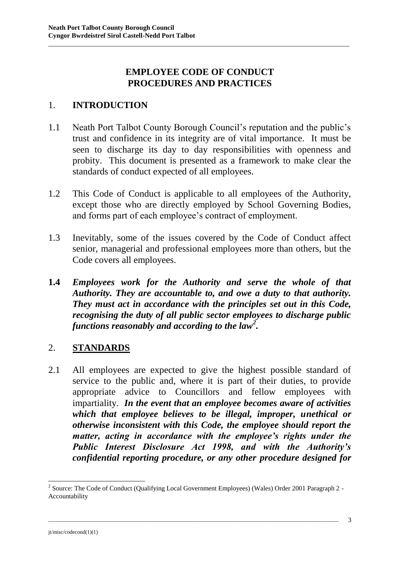## **EMPLOYEE CODE OF CONDUCT PROCEDURES AND PRACTICES**

\_\_\_\_\_\_\_\_\_\_\_\_\_\_\_\_\_\_\_\_\_\_\_\_\_\_\_\_\_\_\_\_\_\_\_\_\_\_\_\_\_\_\_\_\_\_\_\_\_\_\_\_\_\_\_\_\_\_\_\_\_\_\_\_\_\_\_\_\_\_\_\_\_\_\_\_\_\_\_\_\_\_\_\_\_\_\_\_\_

#### 1. **INTRODUCTION**

- 1.1 Neath Port Talbot County Borough Council's reputation and the public's trust and confidence in its integrity are of vital importance. It must be seen to discharge its day to day responsibilities with openness and probity. This document is presented as a framework to make clear the standards of conduct expected of all employees.
- 1.2 This Code of Conduct is applicable to all employees of the Authority, except those who are directly employed by School Governing Bodies, and forms part of each employee's contract of employment.
- 1.3 Inevitably, some of the issues covered by the Code of Conduct affect senior, managerial and professional employees more than others, but the Code covers all employees.
- **1.4** *Employees work for the Authority and serve the whole of that Authority. They are accountable to, and owe a duty to that authority. They must act in accordance with the principles set out in this Code, recognising the duty of all public sector employees to discharge public functions reasonably and according to the law<sup>2</sup> .*

## 2. **STANDARDS**

2.1 All employees are expected to give the highest possible standard of service to the public and, where it is part of their duties, to provide appropriate advice to Councillors and fellow employees with impartiality. *In the event that an employee becomes aware of activities which that employee believes to be illegal, improper, unethical or otherwise inconsistent with this Code, the employee should report the matter, acting in accordance with the employee's rights under the Public Interest Disclosure Act 1998, and with the Authority's confidential reporting procedure, or any other procedure designed for* 

\_\_\_\_\_\_\_\_\_\_\_\_\_\_\_\_\_\_\_\_\_\_\_\_\_\_\_\_\_\_\_\_\_\_\_\_\_\_\_\_\_\_\_\_\_\_\_\_\_\_\_\_\_\_\_\_\_\_\_\_\_\_\_\_\_\_\_\_\_\_\_\_\_\_\_\_\_\_\_\_\_\_\_\_\_\_\_\_\_\_\_\_\_\_\_\_\_\_\_\_\_\_\_\_\_\_

<sup>&</sup>lt;sup>2</sup> Source: The Code of Conduct (Qualifying Local Government Employees) (Wales) Order 2001 Paragraph 2 -Accountability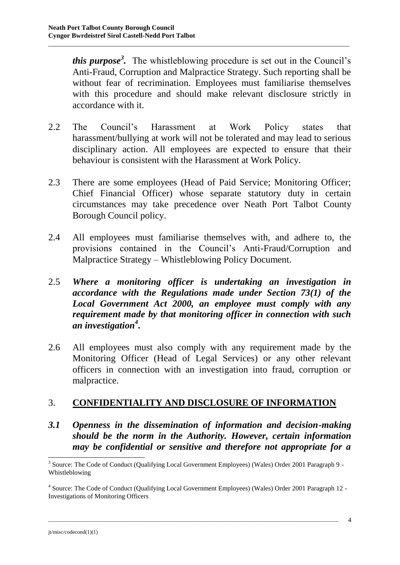*this purpose<sup>3</sup> .* The whistleblowing procedure is set out in the Council's Anti-Fraud, Corruption and Malpractice Strategy. Such reporting shall be without fear of recrimination. Employees must familiarise themselves with this procedure and should make relevant disclosure strictly in accordance with it.

\_\_\_\_\_\_\_\_\_\_\_\_\_\_\_\_\_\_\_\_\_\_\_\_\_\_\_\_\_\_\_\_\_\_\_\_\_\_\_\_\_\_\_\_\_\_\_\_\_\_\_\_\_\_\_\_\_\_\_\_\_\_\_\_\_\_\_\_\_\_\_\_\_\_\_\_\_\_\_\_\_\_\_\_\_\_\_\_\_

- 2.2 The Council's Harassment at Work Policy states that harassment/bullying at work will not be tolerated and may lead to serious disciplinary action. All employees are expected to ensure that their behaviour is consistent with the Harassment at Work Policy.
- 2.3 There are some employees (Head of Paid Service; Monitoring Officer; Chief Financial Officer) whose separate statutory duty in certain circumstances may take precedence over Neath Port Talbot County Borough Council policy.
- 2.4 All employees must familiarise themselves with, and adhere to, the provisions contained in the Council's Anti-Fraud/Corruption and Malpractice Strategy – Whistleblowing Policy Document.
- 2.5 *Where a monitoring officer is undertaking an investigation in accordance with the Regulations made under Section 73(1) of the Local Government Act 2000, an employee must comply with any requirement made by that monitoring officer in connection with such an investigation<sup>4</sup>* **.**
- 2.6 All employees must also comply with any requirement made by the Monitoring Officer (Head of Legal Services) or any other relevant officers in connection with an investigation into fraud, corruption or malpractice.

## 3. **CONFIDENTIALITY AND DISCLOSURE OF INFORMATION**

*3.1 Openness in the dissemination of information and decision-making should be the norm in the Authority. However, certain information may be confidential or sensitive and therefore not appropriate for a* 

\_\_\_\_\_\_\_\_\_\_\_\_\_\_\_\_\_\_\_\_\_\_\_\_\_\_\_\_\_\_\_\_\_\_\_\_\_\_\_\_\_\_\_\_\_\_\_\_\_\_\_\_\_\_\_\_\_\_\_\_\_\_\_\_\_\_\_\_\_\_\_\_\_\_\_\_\_\_\_\_\_\_\_\_\_\_\_\_\_\_\_\_\_\_\_\_\_\_\_\_\_\_\_\_\_\_

<sup>&</sup>lt;sup>3</sup> Source: The Code of Conduct (Qualifying Local Government Employees) (Wales) Order 2001 Paragraph 9 -Whistleblowing

<sup>&</sup>lt;sup>4</sup> Source: The Code of Conduct (Qualifying Local Government Employees) (Wales) Order 2001 Paragraph 12 -Investigations of Monitoring Officers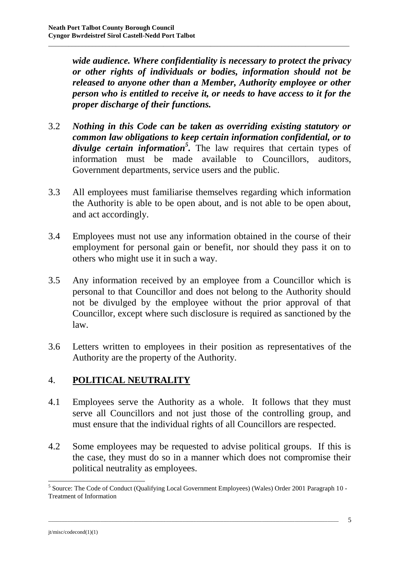*wide audience. Where confidentiality is necessary to protect the privacy or other rights of individuals or bodies, information should not be released to anyone other than a Member, Authority employee or other person who is entitled to receive it, or needs to have access to it for the proper discharge of their functions.* 

\_\_\_\_\_\_\_\_\_\_\_\_\_\_\_\_\_\_\_\_\_\_\_\_\_\_\_\_\_\_\_\_\_\_\_\_\_\_\_\_\_\_\_\_\_\_\_\_\_\_\_\_\_\_\_\_\_\_\_\_\_\_\_\_\_\_\_\_\_\_\_\_\_\_\_\_\_\_\_\_\_\_\_\_\_\_\_\_\_

- 3.2 *Nothing in this Code can be taken as overriding existing statutory or common law obligations to keep certain information confidential, or to divulge certain information<sup>5</sup> .* The law requires that certain types of information must be made available to Councillors, auditors, Government departments, service users and the public.
- 3.3 All employees must familiarise themselves regarding which information the Authority is able to be open about, and is not able to be open about, and act accordingly.
- 3.4 Employees must not use any information obtained in the course of their employment for personal gain or benefit, nor should they pass it on to others who might use it in such a way.
- 3.5 Any information received by an employee from a Councillor which is personal to that Councillor and does not belong to the Authority should not be divulged by the employee without the prior approval of that Councillor, except where such disclosure is required as sanctioned by the law.
- 3.6 Letters written to employees in their position as representatives of the Authority are the property of the Authority.

## 4. **POLITICAL NEUTRALITY**

- 4.1 Employees serve the Authority as a whole. It follows that they must serve all Councillors and not just those of the controlling group, and must ensure that the individual rights of all Councillors are respected.
- 4.2 Some employees may be requested to advise political groups. If this is the case, they must do so in a manner which does not compromise their political neutrality as employees.

\_\_\_\_\_\_\_\_\_\_\_\_\_\_\_\_\_\_\_\_\_\_\_\_\_\_\_\_\_\_\_\_\_\_\_\_\_\_\_\_\_\_\_\_\_\_\_\_\_\_\_\_\_\_\_\_\_\_\_\_\_\_\_\_\_\_\_\_\_\_\_\_\_\_\_\_\_\_\_\_\_\_\_\_\_\_\_\_\_\_\_\_\_\_\_\_\_\_\_\_\_\_\_\_\_\_

<sup>&</sup>lt;sup>5</sup> Source: The Code of Conduct (Qualifying Local Government Employees) (Wales) Order 2001 Paragraph 10 -Treatment of Information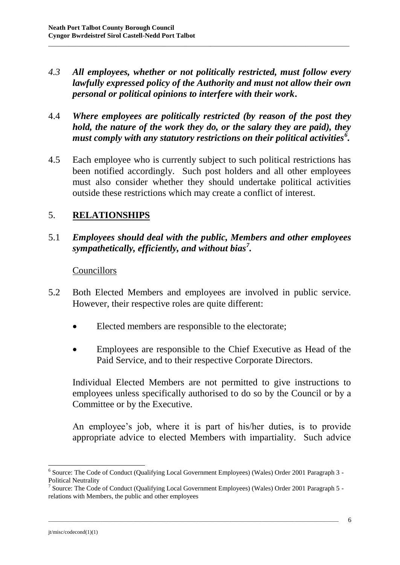*4.3 All employees, whether or not politically restricted, must follow every lawfully expressed policy of the Authority and must not allow their own personal or political opinions to interfere with their work***.**

\_\_\_\_\_\_\_\_\_\_\_\_\_\_\_\_\_\_\_\_\_\_\_\_\_\_\_\_\_\_\_\_\_\_\_\_\_\_\_\_\_\_\_\_\_\_\_\_\_\_\_\_\_\_\_\_\_\_\_\_\_\_\_\_\_\_\_\_\_\_\_\_\_\_\_\_\_\_\_\_\_\_\_\_\_\_\_\_\_

- 4.4 *Where employees are politically restricted (by reason of the post they hold, the nature of the work they do, or the salary they are paid), they must comply with any statutory restrictions on their political activities<sup>6</sup> .*
- 4.5 Each employee who is currently subject to such political restrictions has been notified accordingly. Such post holders and all other employees must also consider whether they should undertake political activities outside these restrictions which may create a conflict of interest.

## 5. **RELATIONSHIPS**

5.1 *Employees should deal with the public, Members and other employees sympathetically, efficiently, and without bias<sup>7</sup> .*

#### Councillors

- 5.2 Both Elected Members and employees are involved in public service. However, their respective roles are quite different:
	- Elected members are responsible to the electorate;
	- Employees are responsible to the Chief Executive as Head of the Paid Service, and to their respective Corporate Directors.

Individual Elected Members are not permitted to give instructions to employees unless specifically authorised to do so by the Council or by a Committee or by the Executive.

An employee's job, where it is part of his/her duties, is to provide appropriate advice to elected Members with impartiality. Such advice

\_\_\_\_\_\_\_\_\_\_\_\_\_\_\_\_\_\_\_\_\_\_\_\_\_\_\_\_\_\_\_\_\_\_\_\_\_\_\_\_\_\_\_\_\_\_\_\_\_\_\_\_\_\_\_\_\_\_\_\_\_\_\_\_\_\_\_\_\_\_\_\_\_\_\_\_\_\_\_\_\_\_\_\_\_\_\_\_\_\_\_\_\_\_\_\_\_\_\_\_\_\_\_\_\_\_

1

<sup>&</sup>lt;sup>6</sup> Source: The Code of Conduct (Qualifying Local Government Employees) (Wales) Order 2001 Paragraph 3 -Political Neutrality

<sup>&</sup>lt;sup>7</sup> Source: The Code of Conduct (Qualifying Local Government Employees) (Wales) Order 2001 Paragraph 5 relations with Members, the public and other employees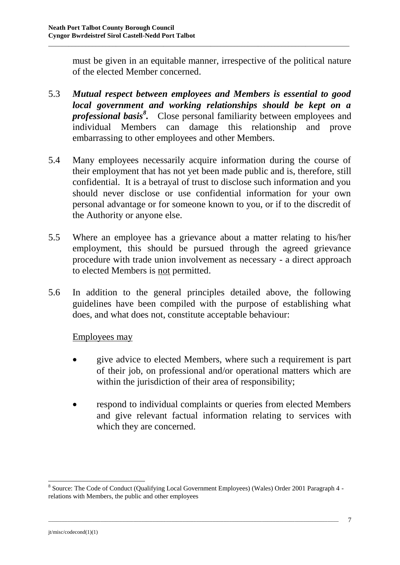must be given in an equitable manner, irrespective of the political nature of the elected Member concerned.

5.3 *Mutual respect between employees and Members is essential to good local government and working relationships should be kept on a professional basis<sup>8</sup> .* Close personal familiarity between employees and individual Members can damage this relationship and prove embarrassing to other employees and other Members.

\_\_\_\_\_\_\_\_\_\_\_\_\_\_\_\_\_\_\_\_\_\_\_\_\_\_\_\_\_\_\_\_\_\_\_\_\_\_\_\_\_\_\_\_\_\_\_\_\_\_\_\_\_\_\_\_\_\_\_\_\_\_\_\_\_\_\_\_\_\_\_\_\_\_\_\_\_\_\_\_\_\_\_\_\_\_\_\_\_

- 5.4 Many employees necessarily acquire information during the course of their employment that has not yet been made public and is, therefore, still confidential. It is a betrayal of trust to disclose such information and you should never disclose or use confidential information for your own personal advantage or for someone known to you, or if to the discredit of the Authority or anyone else.
- 5.5 Where an employee has a grievance about a matter relating to his/her employment, this should be pursued through the agreed grievance procedure with trade union involvement as necessary - a direct approach to elected Members is not permitted.
- 5.6 In addition to the general principles detailed above, the following guidelines have been compiled with the purpose of establishing what does, and what does not, constitute acceptable behaviour:

Employees may

- give advice to elected Members, where such a requirement is part of their job, on professional and/or operational matters which are within the jurisdiction of their area of responsibility;
- respond to individual complaints or queries from elected Members and give relevant factual information relating to services with which they are concerned.

\_\_\_\_\_\_\_\_\_\_\_\_\_\_\_\_\_\_\_\_\_\_\_\_\_\_\_\_\_\_\_\_\_\_\_\_\_\_\_\_\_\_\_\_\_\_\_\_\_\_\_\_\_\_\_\_\_\_\_\_\_\_\_\_\_\_\_\_\_\_\_\_\_\_\_\_\_\_\_\_\_\_\_\_\_\_\_\_\_\_\_\_\_\_\_\_\_\_\_\_\_\_\_\_\_\_

<sup>&</sup>lt;sup>8</sup> Source: The Code of Conduct (Qualifying Local Government Employees) (Wales) Order 2001 Paragraph 4 relations with Members, the public and other employees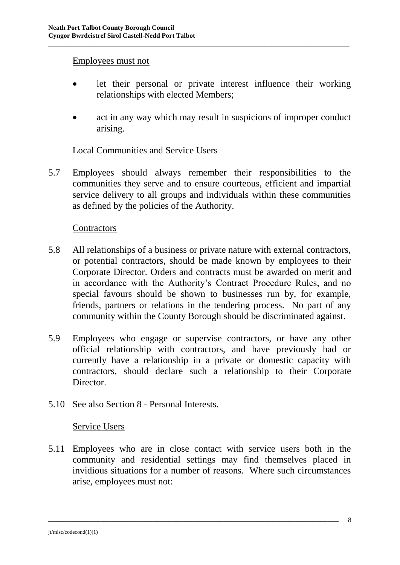#### Employees must not

 let their personal or private interest influence their working relationships with elected Members;

\_\_\_\_\_\_\_\_\_\_\_\_\_\_\_\_\_\_\_\_\_\_\_\_\_\_\_\_\_\_\_\_\_\_\_\_\_\_\_\_\_\_\_\_\_\_\_\_\_\_\_\_\_\_\_\_\_\_\_\_\_\_\_\_\_\_\_\_\_\_\_\_\_\_\_\_\_\_\_\_\_\_\_\_\_\_\_\_\_

 act in any way which may result in suspicions of improper conduct arising.

#### Local Communities and Service Users

5.7 Employees should always remember their responsibilities to the communities they serve and to ensure courteous, efficient and impartial service delivery to all groups and individuals within these communities as defined by the policies of the Authority.

#### **Contractors**

- 5.8 All relationships of a business or private nature with external contractors, or potential contractors, should be made known by employees to their Corporate Director. Orders and contracts must be awarded on merit and in accordance with the Authority's Contract Procedure Rules, and no special favours should be shown to businesses run by, for example, friends, partners or relations in the tendering process. No part of any community within the County Borough should be discriminated against.
- 5.9 Employees who engage or supervise contractors, or have any other official relationship with contractors, and have previously had or currently have a relationship in a private or domestic capacity with contractors, should declare such a relationship to their Corporate Director.
- 5.10 See also Section 8 Personal Interests.

#### Service Users

5.11 Employees who are in close contact with service users both in the community and residential settings may find themselves placed in invidious situations for a number of reasons. Where such circumstances arise, employees must not: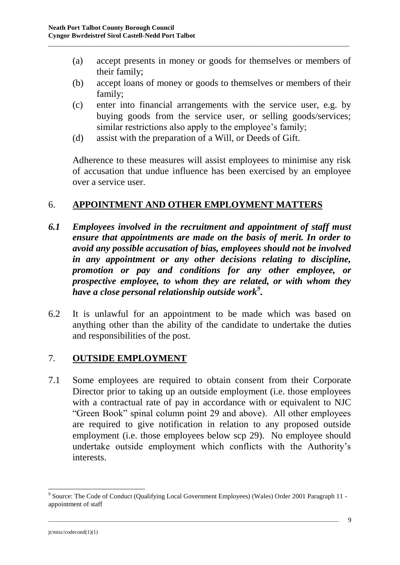(a) accept presents in money or goods for themselves or members of their family;

\_\_\_\_\_\_\_\_\_\_\_\_\_\_\_\_\_\_\_\_\_\_\_\_\_\_\_\_\_\_\_\_\_\_\_\_\_\_\_\_\_\_\_\_\_\_\_\_\_\_\_\_\_\_\_\_\_\_\_\_\_\_\_\_\_\_\_\_\_\_\_\_\_\_\_\_\_\_\_\_\_\_\_\_\_\_\_\_\_

- (b) accept loans of money or goods to themselves or members of their family;
- (c) enter into financial arrangements with the service user, e.g. by buying goods from the service user, or selling goods/services; similar restrictions also apply to the employee's family;
- (d) assist with the preparation of a Will, or Deeds of Gift.

Adherence to these measures will assist employees to minimise any risk of accusation that undue influence has been exercised by an employee over a service user.

## 6. **APPOINTMENT AND OTHER EMPLOYMENT MATTERS**

- *6.1 Employees involved in the recruitment and appointment of staff must ensure that appointments are made on the basis of merit. In order to avoid any possible accusation of bias, employees should not be involved in any appointment or any other decisions relating to discipline, promotion or pay and conditions for any other employee, or prospective employee, to whom they are related, or with whom they have a close personal relationship outside work<sup>9</sup> .*
- 6.2 It is unlawful for an appointment to be made which was based on anything other than the ability of the candidate to undertake the duties and responsibilities of the post.

## 7. **OUTSIDE EMPLOYMENT**

7.1 Some employees are required to obtain consent from their Corporate Director prior to taking up an outside employment (i.e. those employees with a contractual rate of pay in accordance with or equivalent to NJC "Green Book" spinal column point 29 and above). All other employees are required to give notification in relation to any proposed outside employment (i.e. those employees below scp 29). No employee should undertake outside employment which conflicts with the Authority's interests.

\_\_\_\_\_\_\_\_\_\_\_\_\_\_\_\_\_\_\_\_\_\_\_\_\_\_\_\_\_\_\_\_\_\_\_\_\_\_\_\_\_\_\_\_\_\_\_\_\_\_\_\_\_\_\_\_\_\_\_\_\_\_\_\_\_\_\_\_\_\_\_\_\_\_\_\_\_\_\_\_\_\_\_\_\_\_\_\_\_\_\_\_\_\_\_\_\_\_\_\_\_\_\_\_\_\_

1

<sup>&</sup>lt;sup>9</sup> Source: The Code of Conduct (Qualifying Local Government Employees) (Wales) Order 2001 Paragraph 11 appointment of staff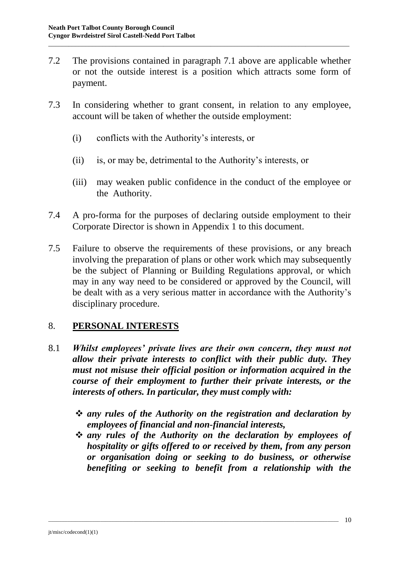7.2 The provisions contained in paragraph 7.1 above are applicable whether or not the outside interest is a position which attracts some form of payment.

\_\_\_\_\_\_\_\_\_\_\_\_\_\_\_\_\_\_\_\_\_\_\_\_\_\_\_\_\_\_\_\_\_\_\_\_\_\_\_\_\_\_\_\_\_\_\_\_\_\_\_\_\_\_\_\_\_\_\_\_\_\_\_\_\_\_\_\_\_\_\_\_\_\_\_\_\_\_\_\_\_\_\_\_\_\_\_\_\_

- 7.3 In considering whether to grant consent, in relation to any employee, account will be taken of whether the outside employment:
	- (i) conflicts with the Authority's interests, or
	- (ii) is, or may be, detrimental to the Authority's interests, or
	- (iii) may weaken public confidence in the conduct of the employee or the Authority.
- 7.4 A pro-forma for the purposes of declaring outside employment to their Corporate Director is shown in Appendix 1 to this document.
- 7.5 Failure to observe the requirements of these provisions, or any breach involving the preparation of plans or other work which may subsequently be the subject of Planning or Building Regulations approval, or which may in any way need to be considered or approved by the Council, will be dealt with as a very serious matter in accordance with the Authority's disciplinary procedure.

## 8. **PERSONAL INTERESTS**

- 8.1 *Whilst employees' private lives are their own concern, they must not allow their private interests to conflict with their public duty. They must not misuse their official position or information acquired in the course of their employment to further their private interests, or the interests of others. In particular, they must comply with:*
	- *any rules of the Authority on the registration and declaration by employees of financial and non-financial interests,*
	- *any rules of the Authority on the declaration by employees of hospitality or gifts offered to or received by them, from any person or organisation doing or seeking to do business, or otherwise benefiting or seeking to benefit from a relationship with the*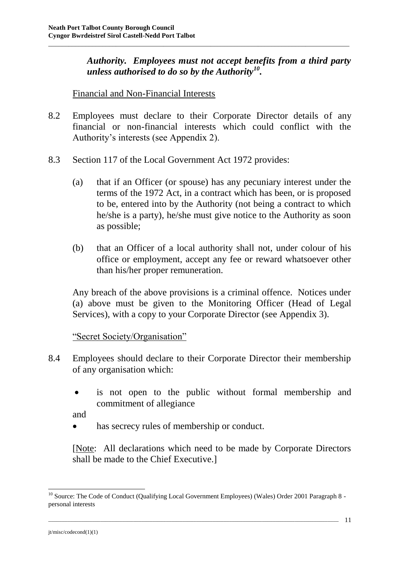*Authority. Employees must not accept benefits from a third party unless authorised to do so by the Authority<sup>10</sup> .* 

#### Financial and Non-Financial Interests

8.2 Employees must declare to their Corporate Director details of any financial or non-financial interests which could conflict with the Authority's interests (see Appendix 2).

\_\_\_\_\_\_\_\_\_\_\_\_\_\_\_\_\_\_\_\_\_\_\_\_\_\_\_\_\_\_\_\_\_\_\_\_\_\_\_\_\_\_\_\_\_\_\_\_\_\_\_\_\_\_\_\_\_\_\_\_\_\_\_\_\_\_\_\_\_\_\_\_\_\_\_\_\_\_\_\_\_\_\_\_\_\_\_\_\_

- 8.3 Section 117 of the Local Government Act 1972 provides:
	- (a) that if an Officer (or spouse) has any pecuniary interest under the terms of the 1972 Act, in a contract which has been, or is proposed to be, entered into by the Authority (not being a contract to which he/she is a party), he/she must give notice to the Authority as soon as possible;
	- (b) that an Officer of a local authority shall not, under colour of his office or employment, accept any fee or reward whatsoever other than his/her proper remuneration.

Any breach of the above provisions is a criminal offence. Notices under (a) above must be given to the Monitoring Officer (Head of Legal Services), with a copy to your Corporate Director (see Appendix 3).

#### "Secret Society/Organisation"

- 8.4 Employees should declare to their Corporate Director their membership of any organisation which:
	- is not open to the public without formal membership and commitment of allegiance

and

has secrecy rules of membership or conduct.

[Note: All declarations which need to be made by Corporate Directors shall be made to the Chief Executive.]

\_\_\_\_\_\_\_\_\_\_\_\_\_\_\_\_\_\_\_\_\_\_\_\_\_\_\_\_\_\_\_\_\_\_\_\_\_\_\_\_\_\_\_\_\_\_\_\_\_\_\_\_\_\_\_\_\_\_\_\_\_\_\_\_\_\_\_\_\_\_\_\_\_\_\_\_\_\_\_\_\_\_\_\_\_\_\_\_\_\_\_\_\_\_\_\_\_\_\_\_\_\_\_\_\_\_

1

<sup>&</sup>lt;sup>10</sup> Source: The Code of Conduct (Qualifying Local Government Employees) (Wales) Order 2001 Paragraph 8 personal interests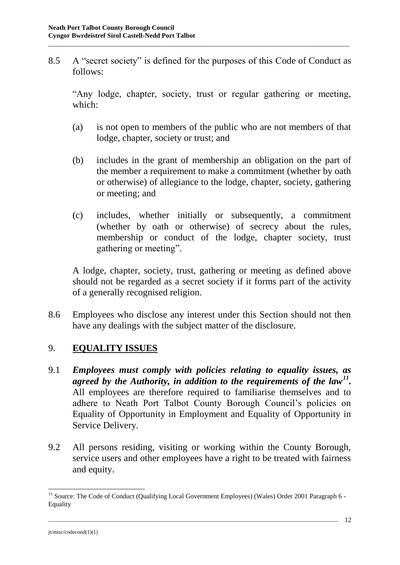8.5 A "secret society" is defined for the purposes of this Code of Conduct as follows:

\_\_\_\_\_\_\_\_\_\_\_\_\_\_\_\_\_\_\_\_\_\_\_\_\_\_\_\_\_\_\_\_\_\_\_\_\_\_\_\_\_\_\_\_\_\_\_\_\_\_\_\_\_\_\_\_\_\_\_\_\_\_\_\_\_\_\_\_\_\_\_\_\_\_\_\_\_\_\_\_\_\_\_\_\_\_\_\_\_

"Any lodge, chapter, society, trust or regular gathering or meeting, which:

- (a) is not open to members of the public who are not members of that lodge, chapter, society or trust; and
- (b) includes in the grant of membership an obligation on the part of the member a requirement to make a commitment (whether by oath or otherwise) of allegiance to the lodge, chapter, society, gathering or meeting; and
- (c) includes, whether initially or subsequently, a commitment (whether by oath or otherwise) of secrecy about the rules, membership or conduct of the lodge, chapter society, trust gathering or meeting".

A lodge, chapter, society, trust, gathering or meeting as defined above should not be regarded as a secret society if it forms part of the activity of a generally recognised religion.

8.6 Employees who disclose any interest under this Section should not then have any dealings with the subject matter of the disclosure.

## 9. **EQUALITY ISSUES**

- 9.1 *Employees must comply with policies relating to equality issues, as agreed by the Authority, in addition to the requirements of the law<sup>11</sup> .*  All employees are therefore required to familiarise themselves and to adhere to Neath Port Talbot County Borough Council's policies on Equality of Opportunity in Employment and Equality of Opportunity in Service Delivery.
- 9.2 All persons residing, visiting or working within the County Borough, service users and other employees have a right to be treated with fairness and equity.

\_\_\_\_\_\_\_\_\_\_\_\_\_\_\_\_\_\_\_\_\_\_\_\_\_\_\_\_\_\_\_\_\_\_\_\_\_\_\_\_\_\_\_\_\_\_\_\_\_\_\_\_\_\_\_\_\_\_\_\_\_\_\_\_\_\_\_\_\_\_\_\_\_\_\_\_\_\_\_\_\_\_\_\_\_\_\_\_\_\_\_\_\_\_\_\_\_\_\_\_\_\_\_\_\_\_

1

<sup>&</sup>lt;sup>11</sup> Source: The Code of Conduct (Qualifying Local Government Employees) (Wales) Order 2001 Paragraph 6 -Equality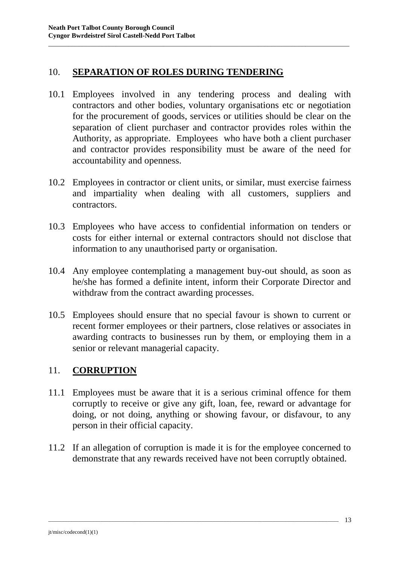#### 10. **SEPARATION OF ROLES DURING TENDERING**

10.1 Employees involved in any tendering process and dealing with contractors and other bodies, voluntary organisations etc or negotiation for the procurement of goods, services or utilities should be clear on the separation of client purchaser and contractor provides roles within the Authority, as appropriate. Employees who have both a client purchaser and contractor provides responsibility must be aware of the need for accountability and openness.

\_\_\_\_\_\_\_\_\_\_\_\_\_\_\_\_\_\_\_\_\_\_\_\_\_\_\_\_\_\_\_\_\_\_\_\_\_\_\_\_\_\_\_\_\_\_\_\_\_\_\_\_\_\_\_\_\_\_\_\_\_\_\_\_\_\_\_\_\_\_\_\_\_\_\_\_\_\_\_\_\_\_\_\_\_\_\_\_\_

- 10.2 Employees in contractor or client units, or similar, must exercise fairness and impartiality when dealing with all customers, suppliers and contractors.
- 10.3 Employees who have access to confidential information on tenders or costs for either internal or external contractors should not disclose that information to any unauthorised party or organisation.
- 10.4 Any employee contemplating a management buy-out should, as soon as he/she has formed a definite intent, inform their Corporate Director and withdraw from the contract awarding processes.
- 10.5 Employees should ensure that no special favour is shown to current or recent former employees or their partners, close relatives or associates in awarding contracts to businesses run by them, or employing them in a senior or relevant managerial capacity.

## 11. **CORRUPTION**

- 11.1 Employees must be aware that it is a serious criminal offence for them corruptly to receive or give any gift, loan, fee, reward or advantage for doing, or not doing, anything or showing favour, or disfavour, to any person in their official capacity.
- 11.2 If an allegation of corruption is made it is for the employee concerned to demonstrate that any rewards received have not been corruptly obtained.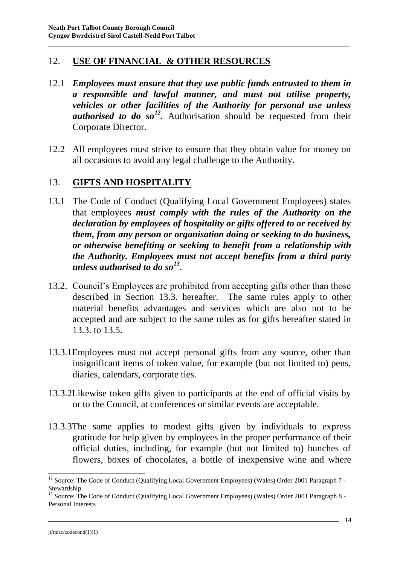## 12. **USE OF FINANCIAL & OTHER RESOURCES**

12.1 *Employees must ensure that they use public funds entrusted to them in a responsible and lawful manner, and must not utilise property, vehicles or other facilities of the Authority for personal use unless*  authorised to do so<sup>12</sup>. Authorisation should be requested from their Corporate Director.

\_\_\_\_\_\_\_\_\_\_\_\_\_\_\_\_\_\_\_\_\_\_\_\_\_\_\_\_\_\_\_\_\_\_\_\_\_\_\_\_\_\_\_\_\_\_\_\_\_\_\_\_\_\_\_\_\_\_\_\_\_\_\_\_\_\_\_\_\_\_\_\_\_\_\_\_\_\_\_\_\_\_\_\_\_\_\_\_\_

12.2 All employees must strive to ensure that they obtain value for money on all occasions to avoid any legal challenge to the Authority.

## 13. **GIFTS AND HOSPITALITY**

- 13.1 The Code of Conduct (Qualifying Local Government Employees) states that employees *must comply with the rules of the Authority on the declaration by employees of hospitality or gifts offered to or received by them, from any person or organisation doing or seeking to do business, or otherwise benefiting or seeking to benefit from a relationship with the Authority. Employees must not accept benefits from a third party unless authorised to do so<sup>13</sup>* .
- 13.2. Council's Employees are prohibited from accepting gifts other than those described in Section 13.3. hereafter. The same rules apply to other material benefits advantages and services which are also not to be accepted and are subject to the same rules as for gifts hereafter stated in 13.3. to 13.5.
- 13.3.1Employees must not accept personal gifts from any source, other than insignificant items of token value, for example (but not limited to) pens, diaries, calendars, corporate ties.
- 13.3.2Likewise token gifts given to participants at the end of official visits by or to the Council, at conferences or similar events are acceptable.
- 13.3.3The same applies to modest gifts given by individuals to express gratitude for help given by employees in the proper performance of their official duties, including, for example (but not limited to) bunches of flowers, boxes of chocolates, a bottle of inexpensive wine and where

\_\_\_\_\_\_\_\_\_\_\_\_\_\_\_\_\_\_\_\_\_\_\_\_\_\_\_\_\_\_\_\_\_\_\_\_\_\_\_\_\_\_\_\_\_\_\_\_\_\_\_\_\_\_\_\_\_\_\_\_\_\_\_\_\_\_\_\_\_\_\_\_\_\_\_\_\_\_\_\_\_\_\_\_\_\_\_\_\_\_\_\_\_\_\_\_\_\_\_\_\_\_\_\_\_\_

<sup>&</sup>lt;sup>12</sup> Source: The Code of Conduct (Qualifying Local Government Employees) (Wales) Order 2001 Paragraph 7 -Stewardship

<sup>&</sup>lt;sup>13</sup> Source: The Code of Conduct (Qualifying Local Government Employees) (Wales) Order 2001 Paragraph 8 -Personal Interests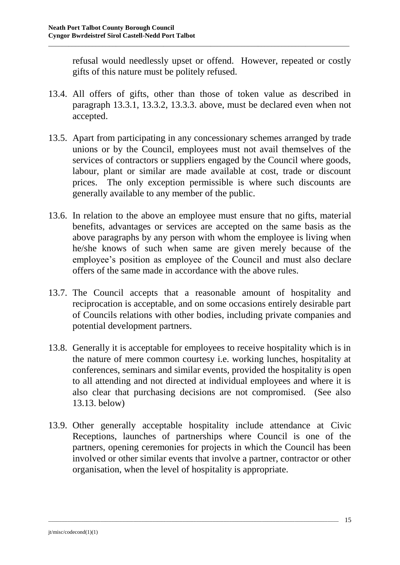refusal would needlessly upset or offend. However, repeated or costly gifts of this nature must be politely refused.

13.4. All offers of gifts, other than those of token value as described in paragraph 13.3.1, 13.3.2, 13.3.3. above, must be declared even when not accepted.

\_\_\_\_\_\_\_\_\_\_\_\_\_\_\_\_\_\_\_\_\_\_\_\_\_\_\_\_\_\_\_\_\_\_\_\_\_\_\_\_\_\_\_\_\_\_\_\_\_\_\_\_\_\_\_\_\_\_\_\_\_\_\_\_\_\_\_\_\_\_\_\_\_\_\_\_\_\_\_\_\_\_\_\_\_\_\_\_\_

- 13.5. Apart from participating in any concessionary schemes arranged by trade unions or by the Council, employees must not avail themselves of the services of contractors or suppliers engaged by the Council where goods, labour, plant or similar are made available at cost, trade or discount prices. The only exception permissible is where such discounts are generally available to any member of the public.
- 13.6. In relation to the above an employee must ensure that no gifts, material benefits, advantages or services are accepted on the same basis as the above paragraphs by any person with whom the employee is living when he/she knows of such when same are given merely because of the employee's position as employee of the Council and must also declare offers of the same made in accordance with the above rules.
- 13.7. The Council accepts that a reasonable amount of hospitality and reciprocation is acceptable, and on some occasions entirely desirable part of Councils relations with other bodies, including private companies and potential development partners.
- 13.8. Generally it is acceptable for employees to receive hospitality which is in the nature of mere common courtesy i.e. working lunches, hospitality at conferences, seminars and similar events, provided the hospitality is open to all attending and not directed at individual employees and where it is also clear that purchasing decisions are not compromised. (See also 13.13. below)
- 13.9. Other generally acceptable hospitality include attendance at Civic Receptions, launches of partnerships where Council is one of the partners, opening ceremonies for projects in which the Council has been involved or other similar events that involve a partner, contractor or other organisation, when the level of hospitality is appropriate.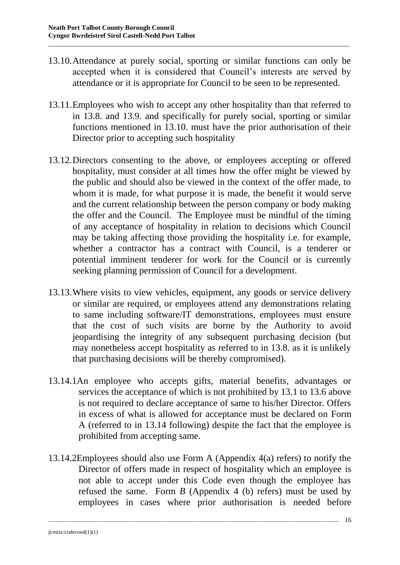13.10.Attendance at purely social, sporting or similar functions can only be accepted when it is considered that Council's interests are served by attendance or it is appropriate for Council to be seen to be represented.

\_\_\_\_\_\_\_\_\_\_\_\_\_\_\_\_\_\_\_\_\_\_\_\_\_\_\_\_\_\_\_\_\_\_\_\_\_\_\_\_\_\_\_\_\_\_\_\_\_\_\_\_\_\_\_\_\_\_\_\_\_\_\_\_\_\_\_\_\_\_\_\_\_\_\_\_\_\_\_\_\_\_\_\_\_\_\_\_\_

- 13.11.Employees who wish to accept any other hospitality than that referred to in 13.8. and 13.9. and specifically for purely social, sporting or similar functions mentioned in 13.10. must have the prior authorisation of their Director prior to accepting such hospitality
- 13.12.Directors consenting to the above, or employees accepting or offered hospitality, must consider at all times how the offer might be viewed by the public and should also be viewed in the context of the offer made, to whom it is made, for what purpose it is made, the benefit it would serve and the current relationship between the person company or body making the offer and the Council. The Employee must be mindful of the timing of any acceptance of hospitality in relation to decisions which Council may be taking affecting those providing the hospitality i.e. for example, whether a contractor has a contract with Council, is a tenderer or potential imminent tenderer for work for the Council or is currently seeking planning permission of Council for a development.
- 13.13.Where visits to view vehicles, equipment, any goods or service delivery or similar are required, or employees attend any demonstrations relating to same including software/IT demonstrations, employees must ensure that the cost of such visits are borne by the Authority to avoid jeopardising the integrity of any subsequent purchasing decision (but may nonetheless accept hospitality as referred to in 13.8. as it is unlikely that purchasing decisions will be thereby compromised).
- 13.14.1An employee who accepts gifts, material benefits, advantages or services the acceptance of which is not prohibited by 13.1 to 13.6 above is not required to declare acceptance of same to his/her Director. Offers in excess of what is allowed for acceptance must be declared on Form A (referred to in 13.14 following) despite the fact that the employee is prohibited from accepting same.
- 13.14.2Employees should also use Form A (Appendix 4(a) refers) to notify the Director of offers made in respect of hospitality which an employee is not able to accept under this Code even though the employee has refused the same. Form *B* (Appendix 4 (b) refers) must be used by employees in cases where prior authorisation is needed before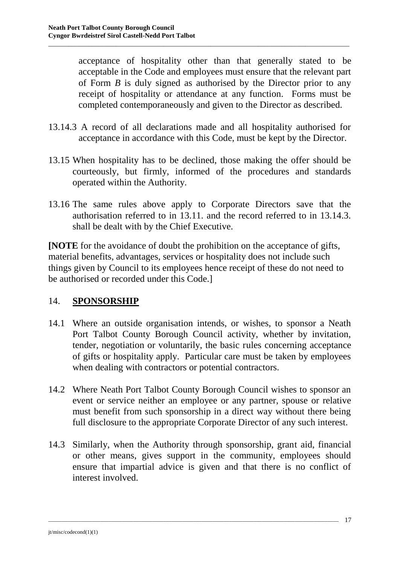acceptance of hospitality other than that generally stated to be acceptable in the Code and employees must ensure that the relevant part of Form *B* is duly signed as authorised by the Director prior to any receipt of hospitality or attendance at any function. Forms must be completed contemporaneously and given to the Director as described.

13.14.3 A record of all declarations made and all hospitality authorised for acceptance in accordance with this Code, must be kept by the Director.

\_\_\_\_\_\_\_\_\_\_\_\_\_\_\_\_\_\_\_\_\_\_\_\_\_\_\_\_\_\_\_\_\_\_\_\_\_\_\_\_\_\_\_\_\_\_\_\_\_\_\_\_\_\_\_\_\_\_\_\_\_\_\_\_\_\_\_\_\_\_\_\_\_\_\_\_\_\_\_\_\_\_\_\_\_\_\_\_\_

- 13.15 When hospitality has to be declined, those making the offer should be courteously, but firmly, informed of the procedures and standards operated within the Authority.
- 13.16 The same rules above apply to Corporate Directors save that the authorisation referred to in 13.11. and the record referred to in 13.14.3. shall be dealt with by the Chief Executive.

**[NOTE** for the avoidance of doubt the prohibition on the acceptance of gifts, material benefits, advantages, services or hospitality does not include such things given by Council to its employees hence receipt of these do not need to be authorised or recorded under this Code.]

## 14. **SPONSORSHIP**

- 14.1 Where an outside organisation intends, or wishes, to sponsor a Neath Port Talbot County Borough Council activity, whether by invitation, tender, negotiation or voluntarily, the basic rules concerning acceptance of gifts or hospitality apply. Particular care must be taken by employees when dealing with contractors or potential contractors.
- 14.2 Where Neath Port Talbot County Borough Council wishes to sponsor an event or service neither an employee or any partner, spouse or relative must benefit from such sponsorship in a direct way without there being full disclosure to the appropriate Corporate Director of any such interest.
- 14.3 Similarly, when the Authority through sponsorship, grant aid, financial or other means, gives support in the community, employees should ensure that impartial advice is given and that there is no conflict of interest involved.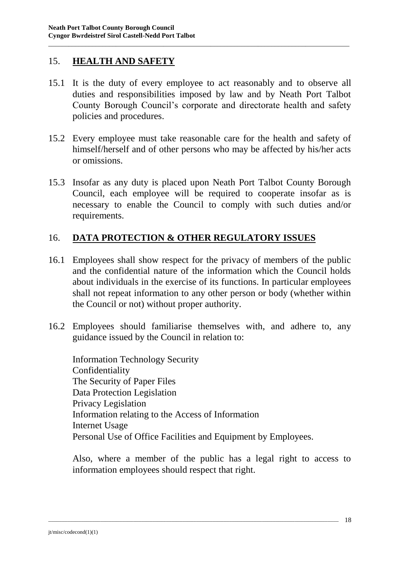## 15. **HEALTH AND SAFETY**

15.1 It is the duty of every employee to act reasonably and to observe all duties and responsibilities imposed by law and by Neath Port Talbot County Borough Council's corporate and directorate health and safety policies and procedures.

\_\_\_\_\_\_\_\_\_\_\_\_\_\_\_\_\_\_\_\_\_\_\_\_\_\_\_\_\_\_\_\_\_\_\_\_\_\_\_\_\_\_\_\_\_\_\_\_\_\_\_\_\_\_\_\_\_\_\_\_\_\_\_\_\_\_\_\_\_\_\_\_\_\_\_\_\_\_\_\_\_\_\_\_\_\_\_\_\_

- 15.2 Every employee must take reasonable care for the health and safety of himself/herself and of other persons who may be affected by his/her acts or omissions.
- 15.3 Insofar as any duty is placed upon Neath Port Talbot County Borough Council, each employee will be required to cooperate insofar as is necessary to enable the Council to comply with such duties and/or requirements.

## 16. **DATA PROTECTION & OTHER REGULATORY ISSUES**

- 16.1 Employees shall show respect for the privacy of members of the public and the confidential nature of the information which the Council holds about individuals in the exercise of its functions. In particular employees shall not repeat information to any other person or body (whether within the Council or not) without proper authority.
- 16.2 Employees should familiarise themselves with, and adhere to, any guidance issued by the Council in relation to:

Information Technology Security Confidentiality The Security of Paper Files Data Protection Legislation Privacy Legislation Information relating to the Access of Information Internet Usage Personal Use of Office Facilities and Equipment by Employees.

\_\_\_\_\_\_\_\_\_\_\_\_\_\_\_\_\_\_\_\_\_\_\_\_\_\_\_\_\_\_\_\_\_\_\_\_\_\_\_\_\_\_\_\_\_\_\_\_\_\_\_\_\_\_\_\_\_\_\_\_\_\_\_\_\_\_\_\_\_\_\_\_\_\_\_\_\_\_\_\_\_\_\_\_\_\_\_\_\_\_\_\_\_\_\_\_\_\_\_\_\_\_\_\_\_\_

Also, where a member of the public has a legal right to access to information employees should respect that right.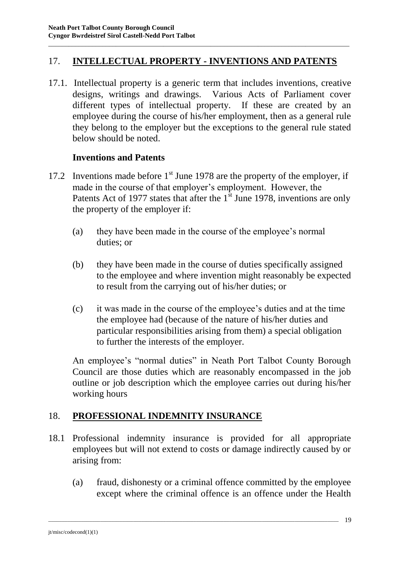## 17. **INTELLECTUAL PROPERTY - INVENTIONS AND PATENTS**

\_\_\_\_\_\_\_\_\_\_\_\_\_\_\_\_\_\_\_\_\_\_\_\_\_\_\_\_\_\_\_\_\_\_\_\_\_\_\_\_\_\_\_\_\_\_\_\_\_\_\_\_\_\_\_\_\_\_\_\_\_\_\_\_\_\_\_\_\_\_\_\_\_\_\_\_\_\_\_\_\_\_\_\_\_\_\_\_\_

17.1.Intellectual property is a generic term that includes inventions, creative designs, writings and drawings. Various Acts of Parliament cover different types of intellectual property. If these are created by an employee during the course of his/her employment, then as a general rule they belong to the employer but the exceptions to the general rule stated below should be noted.

#### **Inventions and Patents**

- 17.2 Inventions made before  $1<sup>st</sup>$  June 1978 are the property of the employer, if made in the course of that employer's employment. However, the Patents Act of 1977 states that after the  $1<sup>st</sup>$  June 1978, inventions are only the property of the employer if:
	- (a) they have been made in the course of the employee's normal duties; or
	- (b) they have been made in the course of duties specifically assigned to the employee and where invention might reasonably be expected to result from the carrying out of his/her duties; or
	- (c) it was made in the course of the employee's duties and at the time the employee had (because of the nature of his/her duties and particular responsibilities arising from them) a special obligation to further the interests of the employer.

An employee's "normal duties" in Neath Port Talbot County Borough Council are those duties which are reasonably encompassed in the job outline or job description which the employee carries out during his/her working hours

## 18. **PROFESSIONAL INDEMNITY INSURANCE**

18.1 Professional indemnity insurance is provided for all appropriate employees but will not extend to costs or damage indirectly caused by or arising from:

\_\_\_\_\_\_\_\_\_\_\_\_\_\_\_\_\_\_\_\_\_\_\_\_\_\_\_\_\_\_\_\_\_\_\_\_\_\_\_\_\_\_\_\_\_\_\_\_\_\_\_\_\_\_\_\_\_\_\_\_\_\_\_\_\_\_\_\_\_\_\_\_\_\_\_\_\_\_\_\_\_\_\_\_\_\_\_\_\_\_\_\_\_\_\_\_\_\_\_\_\_\_\_\_\_\_

(a) fraud, dishonesty or a criminal offence committed by the employee except where the criminal offence is an offence under the Health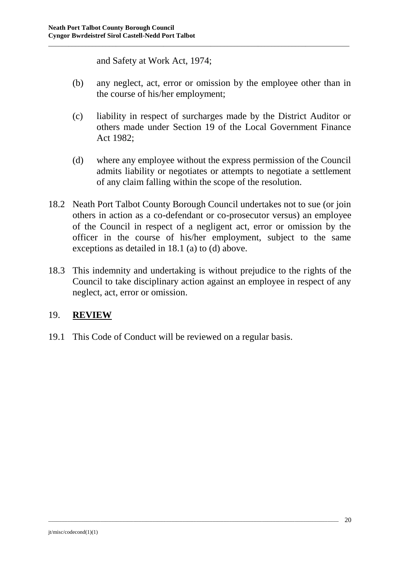and Safety at Work Act, 1974;

(b) any neglect, act, error or omission by the employee other than in the course of his/her employment;

\_\_\_\_\_\_\_\_\_\_\_\_\_\_\_\_\_\_\_\_\_\_\_\_\_\_\_\_\_\_\_\_\_\_\_\_\_\_\_\_\_\_\_\_\_\_\_\_\_\_\_\_\_\_\_\_\_\_\_\_\_\_\_\_\_\_\_\_\_\_\_\_\_\_\_\_\_\_\_\_\_\_\_\_\_\_\_\_\_

- (c) liability in respect of surcharges made by the District Auditor or others made under Section 19 of the Local Government Finance Act 1982;
- (d) where any employee without the express permission of the Council admits liability or negotiates or attempts to negotiate a settlement of any claim falling within the scope of the resolution.
- 18.2 Neath Port Talbot County Borough Council undertakes not to sue (or join others in action as a co-defendant or co-prosecutor versus) an employee of the Council in respect of a negligent act, error or omission by the officer in the course of his/her employment, subject to the same exceptions as detailed in 18.1 (a) to (d) above.
- 18.3 This indemnity and undertaking is without prejudice to the rights of the Council to take disciplinary action against an employee in respect of any neglect, act, error or omission.

\_\_\_\_\_\_\_\_\_\_\_\_\_\_\_\_\_\_\_\_\_\_\_\_\_\_\_\_\_\_\_\_\_\_\_\_\_\_\_\_\_\_\_\_\_\_\_\_\_\_\_\_\_\_\_\_\_\_\_\_\_\_\_\_\_\_\_\_\_\_\_\_\_\_\_\_\_\_\_\_\_\_\_\_\_\_\_\_\_\_\_\_\_\_\_\_\_\_\_\_\_\_\_\_\_\_

## 19. **REVIEW**

19.1 This Code of Conduct will be reviewed on a regular basis.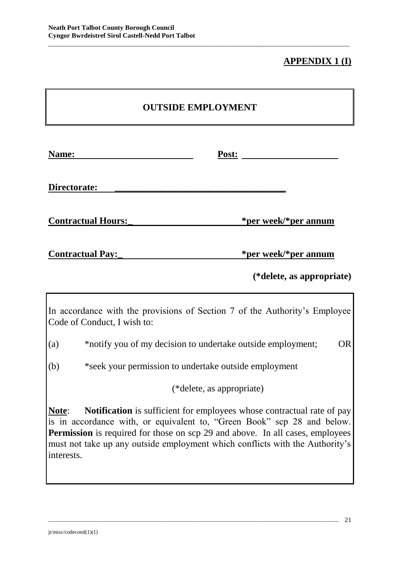## **APPENDIX 1 (I)**

\_\_\_\_\_\_\_\_\_\_\_\_\_\_\_\_\_\_\_\_\_\_\_\_\_\_\_\_\_\_\_\_\_\_\_\_\_\_\_\_\_\_\_\_\_\_\_\_\_\_\_\_\_\_\_\_\_\_\_\_\_\_\_\_\_\_\_\_\_\_\_\_\_\_\_\_\_\_\_\_\_\_\_\_\_\_\_\_\_

| Name:                     | Post:                |
|---------------------------|----------------------|
| Directorate:              |                      |
| <b>Contractual Hours:</b> | *per week/*per annum |
| <b>Contractual Pay:</b>   | *per week/*per annum |

**(\*delete, as appropriate)**

In accordance with the provisions of Section 7 of the Authority's Employee Code of Conduct, I wish to:

(a) \*notify you of my decision to undertake outside employment; OR

(b) \*seek your permission to undertake outside employment

(\*delete, as appropriate)

**Note**: **Notification** is sufficient for employees whose contractual rate of pay is in accordance with, or equivalent to, "Green Book" scp 28 and below. **Permission** is required for those on scp 29 and above. In all cases, employees must not take up any outside employment which conflicts with the Authority's interests.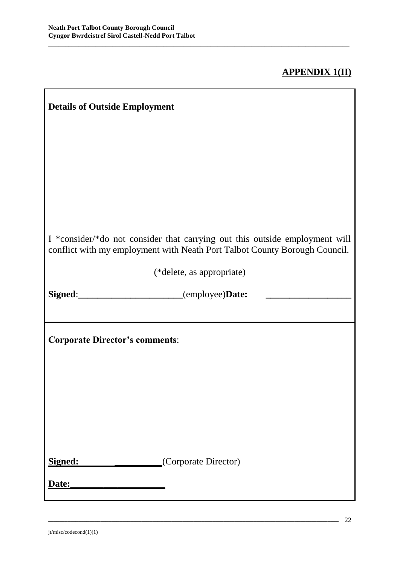$\overline{\phantom{a}}$ 

## **APPENDIX 1(II)**

h

| I *consider/*do not consider that carrying out this outside employment will<br>conflict with my employment with Neath Port Talbot County Borough Council. |  |
|-----------------------------------------------------------------------------------------------------------------------------------------------------------|--|
| (*delete, as appropriate)                                                                                                                                 |  |
| Signed: _______________________(employee)Date: ______                                                                                                     |  |
|                                                                                                                                                           |  |
| <b>Corporate Director's comments:</b>                                                                                                                     |  |
|                                                                                                                                                           |  |
|                                                                                                                                                           |  |
|                                                                                                                                                           |  |
|                                                                                                                                                           |  |
| (Corporate Director)<br>Signed:                                                                                                                           |  |
| Date:                                                                                                                                                     |  |

\_\_\_\_\_\_\_\_\_\_\_\_\_\_\_\_\_\_\_\_\_\_\_\_\_\_\_\_\_\_\_\_\_\_\_\_\_\_\_\_\_\_\_\_\_\_\_\_\_\_\_\_\_\_\_\_\_\_\_\_\_\_\_\_\_\_\_\_\_\_\_\_\_\_\_\_\_\_\_\_\_\_\_\_\_\_\_\_\_\_\_\_\_\_\_\_\_\_\_\_\_\_\_\_\_\_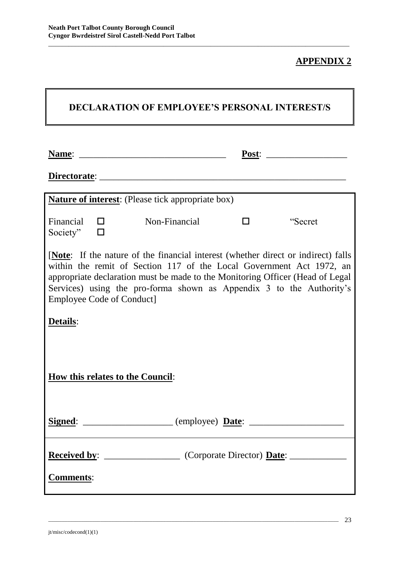#### **APPENDIX 2**

| <b>DECLARATION OF EMPLOYEE'S PERSONAL INTEREST/S</b>                                                                                                                                                                                                                                                                                                          |                       |                                                                                                                       |        |         |
|---------------------------------------------------------------------------------------------------------------------------------------------------------------------------------------------------------------------------------------------------------------------------------------------------------------------------------------------------------------|-----------------------|-----------------------------------------------------------------------------------------------------------------------|--------|---------|
| <b>Name:</b>                                                                                                                                                                                                                                                                                                                                                  |                       | <u> 1980 - Johann Barbara, martin amerikan basal dan berasal dalam basal dalam basal dalam basal dalam basal dala</u> | Post:  |         |
|                                                                                                                                                                                                                                                                                                                                                               |                       | <b>Nature of interest:</b> (Please tick appropriate box)                                                              |        |         |
| Society"                                                                                                                                                                                                                                                                                                                                                      | Financial $\Box$<br>□ | Non-Financial                                                                                                         | $\Box$ | "Secret |
| <b>[Note:</b> If the nature of the financial interest (whether direct or indirect) falls<br>within the remit of Section 117 of the Local Government Act 1972, an<br>appropriate declaration must be made to the Monitoring Officer (Head of Legal<br>Services) using the pro-forma shown as Appendix 3 to the Authority's<br><b>Employee Code of Conduct]</b> |                       |                                                                                                                       |        |         |
| Details:                                                                                                                                                                                                                                                                                                                                                      |                       |                                                                                                                       |        |         |
| <b>How this relates to the Council:</b>                                                                                                                                                                                                                                                                                                                       |                       |                                                                                                                       |        |         |
|                                                                                                                                                                                                                                                                                                                                                               |                       |                                                                                                                       |        |         |
|                                                                                                                                                                                                                                                                                                                                                               |                       | <b>Received by:</b> ____________________ (Corporate Director) <b>Date:</b> ____________                               |        |         |
| <b>Comments:</b>                                                                                                                                                                                                                                                                                                                                              |                       |                                                                                                                       |        |         |

\_\_\_\_\_\_\_\_\_\_\_\_\_\_\_\_\_\_\_\_\_\_\_\_\_\_\_\_\_\_\_\_\_\_\_\_\_\_\_\_\_\_\_\_\_\_\_\_\_\_\_\_\_\_\_\_\_\_\_\_\_\_\_\_\_\_\_\_\_\_\_\_\_\_\_\_\_\_\_\_\_\_\_\_\_\_\_\_\_\_\_\_\_\_\_\_\_\_\_\_\_\_\_\_\_\_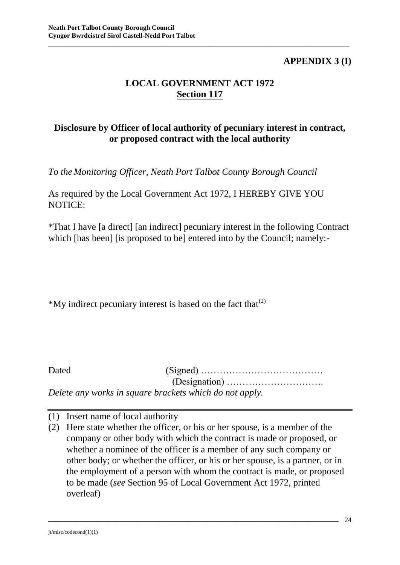## **APPENDIX 3 (I)**

## **LOCAL GOVERNMENT ACT 1972 Section 117**

\_\_\_\_\_\_\_\_\_\_\_\_\_\_\_\_\_\_\_\_\_\_\_\_\_\_\_\_\_\_\_\_\_\_\_\_\_\_\_\_\_\_\_\_\_\_\_\_\_\_\_\_\_\_\_\_\_\_\_\_\_\_\_\_\_\_\_\_\_\_\_\_\_\_\_\_\_\_\_\_\_\_\_\_\_\_\_\_\_

## **Disclosure by Officer of local authority of pecuniary interest in contract, or proposed contract with the local authority**

*To the Monitoring Officer, Neath Port Talbot County Borough Council*

As required by the Local Government Act 1972, I HEREBY GIVE YOU NOTICE:

\*That I have [a direct] [an indirect] pecuniary interest in the following Contract which [has been] [is proposed to be] entered into by the Council; namely:-

\*My indirect pecuniary interest is based on the fact that  $(2)$ 

| Dated |                                                         |
|-------|---------------------------------------------------------|
|       |                                                         |
|       | Delete any works in square brackets which do not apply. |

(1) Insert name of local authority

(2) Here state whether the officer, or his or her spouse, is a member of the company or other body with which the contract is made or proposed, or whether a nominee of the officer is a member of any such company or other body; or whether the officer, or his or her spouse, is a partner, or in the employment of a person with whom the contract is made, or proposed to be made (*see* Section 95 of Local Government Act 1972, printed overleaf)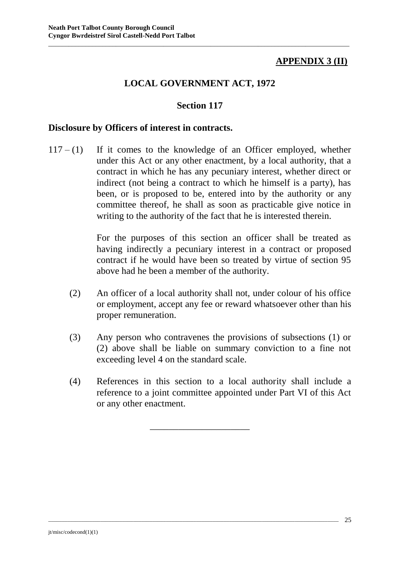## **APPENDIX 3 (II)**

## **LOCAL GOVERNMENT ACT, 1972**

\_\_\_\_\_\_\_\_\_\_\_\_\_\_\_\_\_\_\_\_\_\_\_\_\_\_\_\_\_\_\_\_\_\_\_\_\_\_\_\_\_\_\_\_\_\_\_\_\_\_\_\_\_\_\_\_\_\_\_\_\_\_\_\_\_\_\_\_\_\_\_\_\_\_\_\_\_\_\_\_\_\_\_\_\_\_\_\_\_

#### **Section 117**

#### **Disclosure by Officers of interest in contracts.**

 $117 - (1)$  If it comes to the knowledge of an Officer employed, whether under this Act or any other enactment, by a local authority, that a contract in which he has any pecuniary interest, whether direct or indirect (not being a contract to which he himself is a party), has been, or is proposed to be, entered into by the authority or any committee thereof, he shall as soon as practicable give notice in writing to the authority of the fact that he is interested therein.

> For the purposes of this section an officer shall be treated as having indirectly a pecuniary interest in a contract or proposed contract if he would have been so treated by virtue of section 95 above had he been a member of the authority.

- (2) An officer of a local authority shall not, under colour of his office or employment, accept any fee or reward whatsoever other than his proper remuneration.
- (3) Any person who contravenes the provisions of subsections (1) or (2) above shall be liable on summary conviction to a fine not exceeding level 4 on the standard scale.
- (4) References in this section to a local authority shall include a reference to a joint committee appointed under Part VI of this Act or any other enactment.

\_\_\_\_\_\_\_\_\_\_\_\_\_\_\_\_\_\_\_\_\_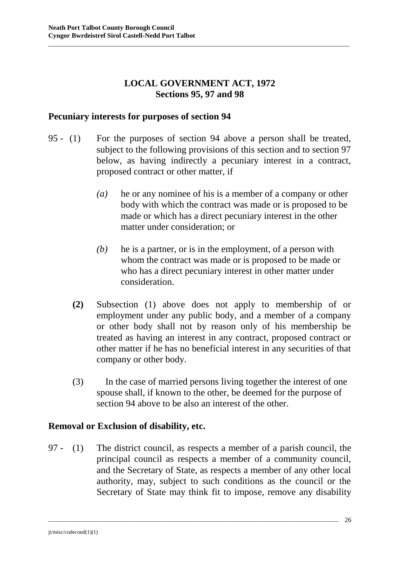## **LOCAL GOVERNMENT ACT, 1972 Sections 95, 97 and 98**

\_\_\_\_\_\_\_\_\_\_\_\_\_\_\_\_\_\_\_\_\_\_\_\_\_\_\_\_\_\_\_\_\_\_\_\_\_\_\_\_\_\_\_\_\_\_\_\_\_\_\_\_\_\_\_\_\_\_\_\_\_\_\_\_\_\_\_\_\_\_\_\_\_\_\_\_\_\_\_\_\_\_\_\_\_\_\_\_\_

#### **Pecuniary interests for purposes of section 94**

- 95 (1) For the purposes of section 94 above a person shall be treated, subject to the following provisions of this section and to section 97 below, as having indirectly a pecuniary interest in a contract, proposed contract or other matter, if
	- *(a)* he or any nominee of his is a member of a company or other body with which the contract was made or is proposed to be made or which has a direct pecuniary interest in the other matter under consideration; or
	- *(b)* he is a partner, or is in the employment, of a person with whom the contract was made or is proposed to be made or who has a direct pecuniary interest in other matter under consideration.
	- **(2)** Subsection (1) above does not apply to membership of or employment under any public body, and a member of a company or other body shall not by reason only of his membership be treated as having an interest in any contract, proposed contract or other matter if he has no beneficial interest in any securities of that company or other body.
	- (3) In the case of married persons living together the interest of one spouse shall, if known to the other, be deemed for the purpose of section 94 above to be also an interest of the other.

#### **Removal or Exclusion of disability, etc.**

97 - (1) The district council, as respects a member of a parish council, the principal council as respects a member of a community council, and the Secretary of State, as respects a member of any other local authority, may, subject to such conditions as the council or the Secretary of State may think fit to impose, remove any disability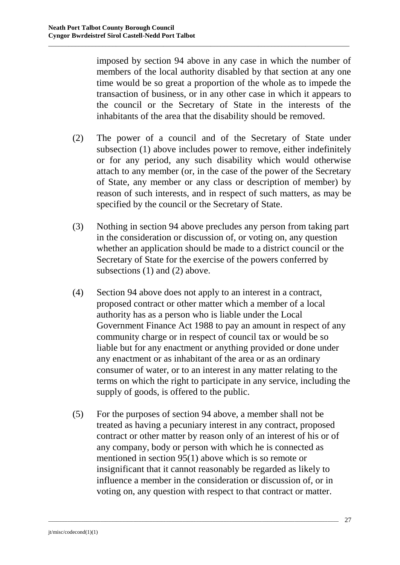imposed by section 94 above in any case in which the number of members of the local authority disabled by that section at any one time would be so great a proportion of the whole as to impede the transaction of business, or in any other case in which it appears to the council or the Secretary of State in the interests of the inhabitants of the area that the disability should be removed.

\_\_\_\_\_\_\_\_\_\_\_\_\_\_\_\_\_\_\_\_\_\_\_\_\_\_\_\_\_\_\_\_\_\_\_\_\_\_\_\_\_\_\_\_\_\_\_\_\_\_\_\_\_\_\_\_\_\_\_\_\_\_\_\_\_\_\_\_\_\_\_\_\_\_\_\_\_\_\_\_\_\_\_\_\_\_\_\_\_

- (2) The power of a council and of the Secretary of State under subsection (1) above includes power to remove, either indefinitely or for any period, any such disability which would otherwise attach to any member (or, in the case of the power of the Secretary of State, any member or any class or description of member) by reason of such interests, and in respect of such matters, as may be specified by the council or the Secretary of State.
- (3) Nothing in section 94 above precludes any person from taking part in the consideration or discussion of, or voting on, any question whether an application should be made to a district council or the Secretary of State for the exercise of the powers conferred by subsections (1) and (2) above.
- (4) Section 94 above does not apply to an interest in a contract, proposed contract or other matter which a member of a local authority has as a person who is liable under the Local Government Finance Act 1988 to pay an amount in respect of any community charge or in respect of council tax or would be so liable but for any enactment or anything provided or done under any enactment or as inhabitant of the area or as an ordinary consumer of water, or to an interest in any matter relating to the terms on which the right to participate in any service, including the supply of goods, is offered to the public.
- (5) For the purposes of section 94 above, a member shall not be treated as having a pecuniary interest in any contract, proposed contract or other matter by reason only of an interest of his or of any company, body or person with which he is connected as mentioned in section 95(1) above which is so remote or insignificant that it cannot reasonably be regarded as likely to influence a member in the consideration or discussion of, or in voting on, any question with respect to that contract or matter.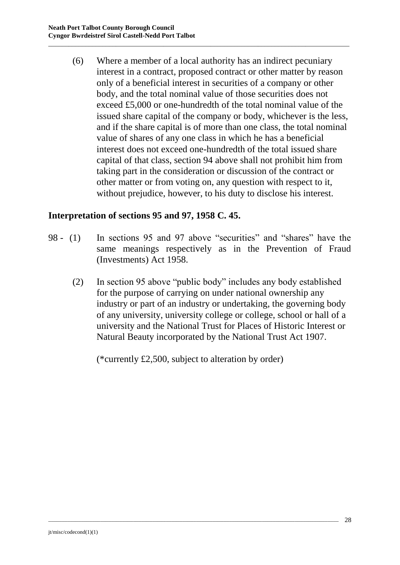(6) Where a member of a local authority has an indirect pecuniary interest in a contract, proposed contract or other matter by reason only of a beneficial interest in securities of a company or other body, and the total nominal value of those securities does not exceed £5,000 or one-hundredth of the total nominal value of the issued share capital of the company or body, whichever is the less, and if the share capital is of more than one class, the total nominal value of shares of any one class in which he has a beneficial interest does not exceed one-hundredth of the total issued share capital of that class, section 94 above shall not prohibit him from taking part in the consideration or discussion of the contract or other matter or from voting on, any question with respect to it, without prejudice, however, to his duty to disclose his interest.

\_\_\_\_\_\_\_\_\_\_\_\_\_\_\_\_\_\_\_\_\_\_\_\_\_\_\_\_\_\_\_\_\_\_\_\_\_\_\_\_\_\_\_\_\_\_\_\_\_\_\_\_\_\_\_\_\_\_\_\_\_\_\_\_\_\_\_\_\_\_\_\_\_\_\_\_\_\_\_\_\_\_\_\_\_\_\_\_\_

#### **Interpretation of sections 95 and 97, 1958 C. 45.**

- 98 (1) In sections 95 and 97 above "securities" and "shares" have the same meanings respectively as in the Prevention of Fraud (Investments) Act 1958.
	- (2) In section 95 above "public body" includes any body established for the purpose of carrying on under national ownership any industry or part of an industry or undertaking, the governing body of any university, university college or college, school or hall of a university and the National Trust for Places of Historic Interest or Natural Beauty incorporated by the National Trust Act 1907.

(\*currently £2,500, subject to alteration by order)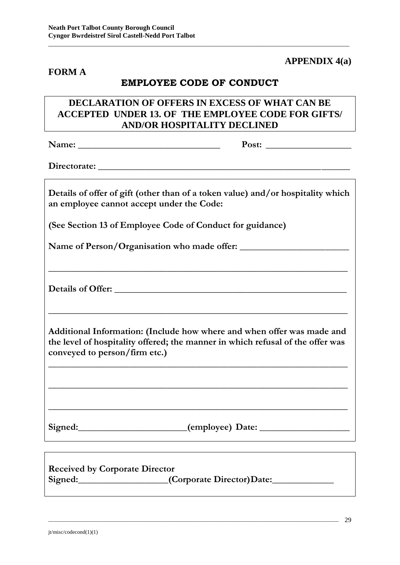#### **FORM A**

#### **APPENDIX 4(a)**

## **EMPLOYEE CODE OF CONDUCT**

\_\_\_\_\_\_\_\_\_\_\_\_\_\_\_\_\_\_\_\_\_\_\_\_\_\_\_\_\_\_\_\_\_\_\_\_\_\_\_\_\_\_\_\_\_\_\_\_\_\_\_\_\_\_\_\_\_\_\_\_\_\_\_\_\_\_\_\_\_\_\_\_\_\_\_\_\_\_\_\_\_\_\_\_\_\_\_\_\_

#### **DECLARATION OF OFFERS IN EXCESS OF WHAT CAN BE ACCEPTED UNDER 13. OF THE EMPLOYEE CODE FOR GIFTS/ AND/OR HOSPITALITY DECLINED**

**Name: \_\_\_\_\_\_\_\_\_\_\_\_\_\_\_\_\_\_\_\_\_\_\_\_\_\_\_\_\_\_ Post: \_\_\_\_\_\_\_\_\_\_\_\_\_\_\_\_\_\_**

Directorate:

**Details of offer of gift (other than of a token value) and/or hospitality which an employee cannot accept under the Code:**

**(See Section 13 of Employee Code of Conduct for guidance)**

Name of Person/Organisation who made offer:

**Details of Offer: \_\_\_\_\_\_\_\_\_\_\_\_\_\_\_\_\_\_\_\_\_\_\_\_\_\_\_\_\_\_\_\_\_\_\_\_\_\_\_\_\_\_\_\_\_\_\_\_\_**

**Additional Information: (Include how where and when offer was made and the level of hospitality offered; the manner in which refusal of the offer was conveyed to person/firm etc.)**

**\_\_\_\_\_\_\_\_\_\_\_\_\_\_\_\_\_\_\_\_\_\_\_\_\_\_\_\_\_\_\_\_\_\_\_\_\_\_\_\_\_\_\_\_\_\_\_\_\_\_\_\_\_\_\_\_\_\_\_\_\_\_\_**

**\_\_\_\_\_\_\_\_\_\_\_\_\_\_\_\_\_\_\_\_\_\_\_\_\_\_\_\_\_\_\_\_\_\_\_\_\_\_\_\_\_\_\_\_\_\_\_\_\_\_\_\_\_\_\_\_\_\_\_\_\_\_\_**

**\_\_\_\_\_\_\_\_\_\_\_\_\_\_\_\_\_\_\_\_\_\_\_\_\_\_\_\_\_\_\_\_\_\_\_\_\_\_\_\_\_\_\_\_\_\_\_\_\_\_\_\_\_\_\_\_\_\_\_\_\_\_\_**

**\_\_\_\_\_\_\_\_\_\_\_\_\_\_\_\_\_\_\_\_\_\_\_\_\_\_\_\_\_\_\_\_\_\_\_\_\_\_\_\_\_\_\_\_\_\_\_\_\_\_\_\_\_\_\_\_\_\_\_\_\_\_\_**

**\_\_\_\_\_\_\_\_\_\_\_\_\_\_\_\_\_\_\_\_\_\_\_\_\_\_\_\_\_\_\_\_\_\_\_\_\_\_\_\_\_\_\_\_\_\_\_\_\_\_\_\_\_\_\_\_\_\_\_\_\_\_\_**

Signed: \_\_\_\_\_\_\_\_\_\_\_\_\_\_\_\_\_\_\_\_\_\_\_\_(employee) Date: \_\_\_\_\_\_\_\_\_\_\_\_\_\_\_\_\_\_\_\_\_\_\_\_\_\_\_\_\_\_\_\_\_

| <b>Received by Corporate Director</b> |                            |
|---------------------------------------|----------------------------|
| Signed:                               | _(Corporate Director)Date: |